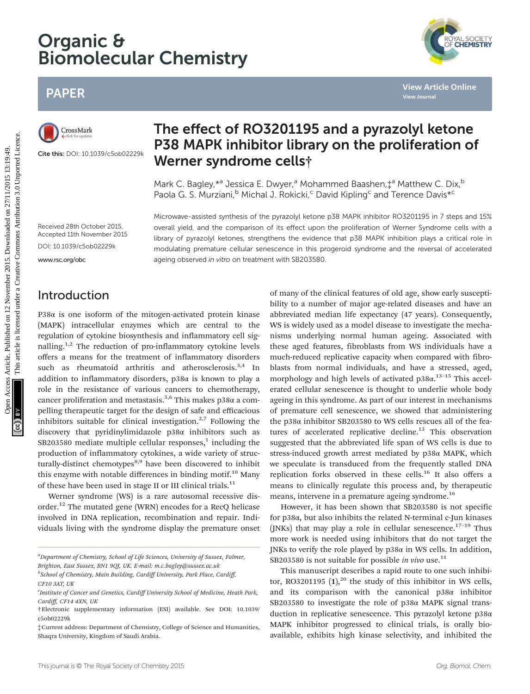# Organic & Biomolecular Chemistry

# PAPER

Cite this: DOI: 10.1039/c5ob02229k

# The effect of RO3201195 and a pyrazolyl ketone P38 MAPK inhibitor library on the proliferation of Werner syndrome cells†

Mark C. Bagley,  $*$ <sup>a</sup> Jessica E. Dwyer,<sup>a</sup> Mohammed Baashen,  $\dot{x}^a$  Matthew C. Dix,<sup>b</sup> Paola G. S. Murziani,<sup>b</sup> Michal J. Rokicki,<sup>c</sup> David Kipling<sup>c</sup> and Terence Davis<sup>\*c</sup>

Received 28th October 2015, Accepted 11th November 2015 Microwave-assisted synthesis of the pyrazolyl ketone p38 MAPK inhibitor RO3201195 in 7 steps and 15% overall yield, and the comparison of its effect upon the proliferation of Werner Syndrome cells with a library of pyrazolyl ketones, strengthens the evidence that p38 MAPK inhibition plays a critical role in modulating premature cellular senescence in this progeroid syndrome and the reversal of accelerated ageing observed in vitro on treatment with SB203580.

<www.rsc.org/obc>

### Introduction

P38 $α$  is one isoform of the mitogen-activated protein kinase (MAPK) intracellular enzymes which are central to the regulation of cytokine biosynthesis and inflammatory cell signalling.<sup>1,2</sup> The reduction of pro-inflammatory cytokine levels offers a means for the treatment of inflammatory disorders such as rheumatoid arthritis and atherosclerosis.<sup>3,4</sup> In addition to inflammatory disorders, p38α is known to play a role in the resistance of various cancers to chemotherapy, cancer proliferation and metastasis.<sup>5,6</sup> This makes  $p38\alpha$  a compelling therapeutic target for the design of safe and efficacious inhibitors suitable for clinical investigation.<sup>2,7</sup> Following the discovery that pyridinylimidazole p38α inhibitors such as  $SB203580$  mediate multiple cellular responses,<sup>1</sup> including the production of inflammatory cytokines, a wide variety of structurally-distinct chemotypes<sup>8,9</sup> have been discovered to inhibit this enzyme with notable differences in binding motif.<sup>10</sup> Many of these have been used in stage II or III clinical trials.<sup>11</sup>

Werner syndrome (WS) is a rare autosomal recessive disorder.<sup>12</sup> The mutated gene (WRN) encodes for a RecQ helicase involved in DNA replication, recombination and repair. Individuals living with the syndrome display the premature onset

<sup>a</sup>Department of Chemistry, School of Life Sciences, University of Sussex, Falmer, Brighton, East Sussex, BN1 9QJ, UK. E-mail: m.c.bagley@sussex.ac.uk <sup>b</sup>School of Chemistry, Main Building, Cardiff University, Park Place, Cardiff,

of many of the clinical features of old age, show early susceptibility to a number of major age-related diseases and have an abbreviated median life expectancy (47 years). Consequently, WS is widely used as a model disease to investigate the mechanisms underlying normal human ageing. Associated with these aged features, fibroblasts from WS individuals have a much-reduced replicative capacity when compared with fibroblasts from normal individuals, and have a stressed, aged, morphology and high levels of activated p38α.<sup>13-15</sup> This accelerated cellular senescence is thought to underlie whole body ageing in this syndrome. As part of our interest in mechanisms of premature cell senescence, we showed that administering the p38α inhibitor SB203580 to WS cells rescues all of the features of accelerated replicative decline.<sup>13</sup> This observation suggested that the abbreviated life span of WS cells is due to stress-induced growth arrest mediated by p38α MAPK, which we speculate is transduced from the frequently stalled DNA replication forks observed in these cells.<sup>16</sup> It also offers a means to clinically regulate this process and, by therapeutic means, intervene in a premature ageing syndrome.<sup>16</sup> **PHORE SECRIC STROSZOLISTS ARTIGIT CONSULT THE CONSULT CONSULT CONSULT CONSULT CONSULT CONSULT CONSULT CONSULT CONSULT CONSULT CONSULT CONSULT CONSULT CONSULT CONSULT CONSULT CONSULT CONSULT CONSULT CONSULT CONSULT CONSULT** 

> However, it has been shown that SB203580 is not specific for p38α, but also inhibits the related N-terminal c-Jun kinases (JNKs) that may play a role in cellular senescence.<sup>17-19</sup> Thus more work is needed using inhibitors that do not target the JNKs to verify the role played by p38α in WS cells. In addition, SB203580 is not suitable for possible in vivo use.<sup>11</sup>

> This manuscript describes a rapid route to one such inhibitor, RO3201195  $(1)$ ,<sup>20</sup> the study of this inhibitor in WS cells, and its comparison with the canonical p38α inhibitor SB203580 to investigate the role of p38α MAPK signal transduction in replicative senescence. This pyrazolyl ketone p38α MAPK inhibitor progressed to clinical trials, is orally bioavailable, exhibits high kinase selectivity, and inhibited the



CF10 3AT, UK

<sup>&</sup>lt;sup>c</sup>Institute of Cancer and Genetics, Cardiff University School of Medicine, Heath Park, Cardiff, CF14 4XN, UK

<sup>†</sup>Electronic supplementary information (ESI) available. See DOI: 10.1039/ c5ob02229k

<sup>‡</sup>Current address: Department of Chemistry, College of Science and Humanities, Shaqra University, Kingdom of Saudi Arabia.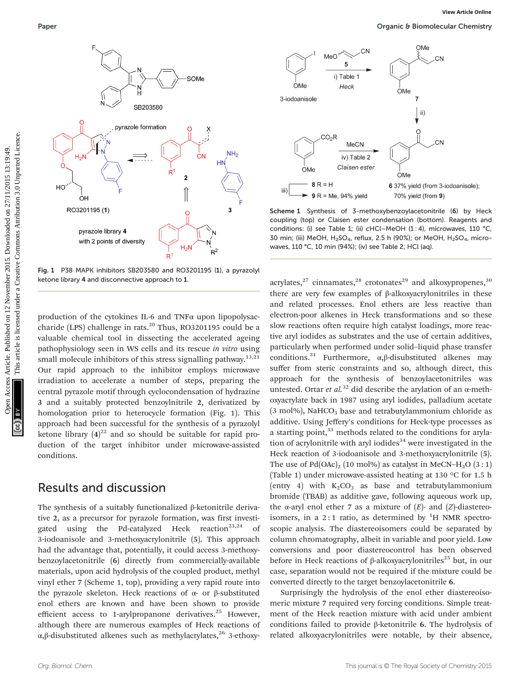

Fig. 1 P38 MAPK inhibitors SB203580 and RO3201195 (1), a pyrazolyl ketone library 4 and disconnective approach to 1.

production of the cytokines IL-6 and TNFα upon lipopolysaccharide (LPS) challenge in rats.<sup>20</sup> Thus, RO3201195 could be a valuable chemical tool in dissecting the accelerated ageing pathophysiology seen in WS cells and its rescue in vitro using small molecule inhibitors of this stress signalling pathway.<sup>13,21</sup> Our rapid approach to the inhibitor employs microwave irradiation to accelerate a number of steps, preparing the central pyrazole motif through cyclocondensation of hydrazine 3 and a suitably protected benzoylnitrile 2, derivatized by homologation prior to heterocycle formation (Fig. 1). This approach had been successful for the synthesis of a pyrazolyl ketone library  $(4)^{22}$  and so should be suitable for rapid production of the target inhibitor under microwave-assisted conditions.

### Results and discussion

The synthesis of a suitably functionalized β-ketonitrile derivative 2, as a precursor for pyrazole formation, was first investigated using the Pd-catalyzed Heck reaction<sup>23,24</sup> of 3-iodoanisole and 3-methoxyacrylonitrile (5). This approach had the advantage that, potentially, it could access 3-methoxybenzoylacetonitrile (6) directly from commercially-available materials, upon acid hydrolysis of the coupled product, methyl vinyl ether 7 (Scheme 1, top), providing a very rapid route into the pyrazole skeleton. Heck reactions of α- or β-substituted enol ethers are known and have been shown to provide efficient access to 1-arylpropanone derivatives.<sup>25</sup> However, although there are numerous examples of Heck reactions of α,β-disubstituted alkenes such as methylacrylates,<sup>26</sup> 3-ethoxy-



Scheme 1 Synthesis of 3-methoxybenzoylacetonitrile (6) by Heck coupling (top) or Claisen ester condensation (bottom). Reagents and conditions: (i) see Table 1; (ii) cHCl-MeOH (1 : 4), microwaves, 110 °C, 30 min; (iii) MeOH,  $H<sub>2</sub>SO<sub>4</sub>$ , reflux, 2.5 h (90%); or MeOH,  $H<sub>2</sub>SO<sub>4</sub>$ , microwaves, 110 °C, 10 min (94%); (iv) see Table 2; HCl (aq).

acrylates, $27$  cinnamates, $28$  crotonates<sup>29</sup> and alkoxypropenes, $30$ there are very few examples of β-alkoxyacrylonitriles in these and related processes. Enol ethers are less reactive than electron-poor alkenes in Heck transformations and so these slow reactions often require high catalyst loadings, more reactive aryl iodides as substrates and the use of certain additives, particularly when performed under solid–liquid phase transfer conditions.<sup>31</sup> Furthermore,  $\alpha$ , $\beta$ -disubstituted alkenes may suffer from steric constraints and so, although direct, this approach for the synthesis of benzoylacetonitriles was untested. Ortar et al.<sup>32</sup> did describe the arylation of an  $\alpha$ -methoxyacrylate back in 1987 using aryl iodides, palladium acetate  $(3 \text{ mol}), \text{NaHCO}_3$  base and tetrabutylammonium chloride as additive. Using Jeffery's conditions for Heck-type processes as a starting point, $33$  methods related to the conditions for arylation of acrylonitrile with aryl iodides<sup>34</sup> were investigated in the Heck reaction of 3-iodoanisole and 3-methoxyacrylonitrile (5). The use of  $Pd(OAc)_2$  (10 mol%) as catalyst in MeCN–H<sub>2</sub>O (3:1) (Table 1) under microwave-assisted heating at 130 °C for 1.5 h (entry 4) with  $K_2CO_3$  as base and tetrabutylammonium bromide (TBAB) as additive gave, following aqueous work up, the α-aryl enol ether 7 as a mixture of  $(E)$ - and  $(Z)$ -diastereoisomers, in a 2:1 ratio, as determined by  ${}^{1}H$  NMR spectroscopic analysis. The diastereoisomers could be separated by column chromatography, albeit in variable and poor yield. Low conversions and poor diastereocontrol has been observed before in Heck reactions of  $\beta$ -alkoxyacrylonitriles<sup>25</sup> but, in our case, separation would not be required if the mixture could be converted directly to the target benzoylacetonitrile 6.

Surprisingly the hydrolysis of the enol ether diastereoisomeric mixture 7 required very forcing conditions. Simple treatment of the Heck reaction mixture with acid under ambient conditions failed to provide β-ketonitrile 6. The hydrolysis of related alkoxyacrylonitriles were notable, by their absence,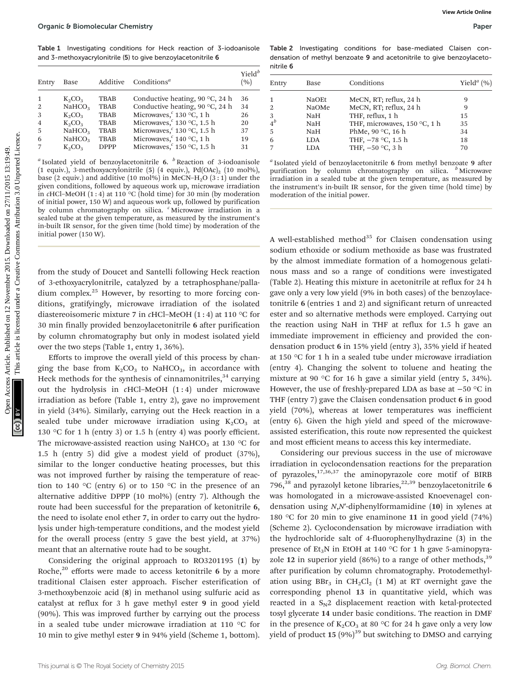Table 1 Investigating conditions for Heck reaction of 3-iodoanisole and 3-methoxyacrylonitrile (5) to give benzoylacetonitrile 6

| Entry | Base               | Additive    | Conditions <sup><math>a</math></sup>     | $Yield^b$<br>(%) |
|-------|--------------------|-------------|------------------------------------------|------------------|
|       | $K_2CO_3$          | <b>TBAB</b> | Conductive heating, 90 $\degree$ C, 24 h | 36               |
| 2     | NAHCO <sub>3</sub> | <b>TBAB</b> | Conductive heating, 90 $\degree$ C, 24 h | 34               |
| 3     | $K_2CO_3$          | <b>TBAB</b> | Microwaves, $c$ 130 °C, 1 h              | 26               |
| 4     | $K_2CO_3$          | <b>TBAB</b> | Microwaves, $6$ 130 °C, 1.5 h            | 20               |
| 5     | NAHCO <sub>3</sub> | <b>TBAB</b> | Microwaves, $6$ 130 °C, 1.5 h            | 37               |
| 6     | NAHCO <sub>3</sub> | <b>TBAB</b> | Microwaves, $c$ 140 °C, 1 h              | 19               |
|       | $K_2CO_3$          | <b>DPPP</b> | Microwaves, $c$ 150 °C, 1.5 h            | 31               |
|       |                    |             |                                          |                  |

<sup>a</sup> Isolated yield of benzoylacetonitrile 6.  $\frac{b}{c}$  Reaction of 3-iodoanisole (1 equiv.), 3-methoxyacrylonitrile (5) (4 equiv.),  $Pd(OAc)_2$  (10 mol%), base (2 equiv.) and additive (10 mol%) in MeCN–H<sub>2</sub>O  $(3:1)$  under the given conditions, followed by aqueous work up, microwave irradiation in cHCl–MeOH  $(1:4)$  at 110 °C (hold time) for 30 min (by moderation of initial power, 150 W) and aqueous work up, followed by purification by column chromatography on silica. <sup>c</sup> Microwave irradiation in a sealed tube at the given temperature, as measured by the instrument's in-built IR sensor, for the given time (hold time) by moderation of the initial power (150 W).

from the study of Doucet and Santelli following Heck reaction of 3-ethoxyacrylonitrile, catalyzed by a tetraphosphane/palladium complex.<sup>25</sup> However, by resorting to more forcing conditions, gratifyingly, microwave irradiation of the isolated diastereoisomeric mixture 7 in cHCl–MeOH (1 : 4) at 110 °C for 30 min finally provided benzoylacetonitrile 6 after purification by column chromatography but only in modest isolated yield over the two steps (Table 1, entry 1, 36%).

Efforts to improve the overall yield of this process by changing the base from  $K_2CO_3$  to NaHCO<sub>3</sub>, in accordance with Heck methods for the synthesis of cinnamonitriles,  $34$  carrying out the hydrolysis in cHCl–MeOH (1 : 4) under microwave irradiation as before (Table 1, entry 2), gave no improvement in yield (34%). Similarly, carrying out the Heck reaction in a sealed tube under microwave irradiation using  $K_2CO_3$  at 130 °C for 1 h (entry 3) or 1.5 h (entry 4) was poorly efficient. The microwave-assisted reaction using NaHCO<sub>3</sub> at 130  $\,^{\circ}$ C for 1.5 h (entry 5) did give a modest yield of product (37%), similar to the longer conductive heating processes, but this was not improved further by raising the temperature of reaction to 140 °C (entry 6) or to 150 °C in the presence of an alternative additive DPPP (10 mol%) (entry 7). Although the route had been successful for the preparation of ketonitrile 6, the need to isolate enol ether 7, in order to carry out the hydrolysis under high-temperature conditions, and the modest yield for the overall process (entry 5 gave the best yield, at 37%) meant that an alternative route had to be sought.

Considering the original approach to RO3201195 (1) by Roche,<sup>20</sup> efforts were made to access ketonitrile 6 by a more traditional Claisen ester approach. Fischer esterification of 3-methoxybenzoic acid (8) in methanol using sulfuric acid as catalyst at reflux for 3 h gave methyl ester 9 in good yield (90%). This was improved further by carrying out the process in a sealed tube under microwave irradiation at 110 °C for 10 min to give methyl ester 9 in 94% yield (Scheme 1, bottom).

Table 2 Investigating conditions for base-mediated Claisen condensation of methyl benzoate 9 and acetonitrile to give benzoylacetonitrile 6

| Entry | Base  | Conditions                   | Yield <sup><i>a</i></sup> $(\% )$ |
|-------|-------|------------------------------|-----------------------------------|
|       | NaOEt | MeCN, RT; reflux, 24 h       | 9                                 |
| 2     | NaOMe | MeCN, RT; reflux, 24 h       | 9                                 |
| 3     | NaH   | THF, reflux, 1 h             | 15                                |
|       | NaH   | THF, microwaves, 150 °C, 1 h | 35                                |
| 5     | NaH   | PhMe, 90 °C, 16 h            | 34                                |
| 6     | LDA   | THF, -78 °C, 1.5 h           | 18                                |
|       | LDA   | THF, $-50$ °C, 3 h           | 70                                |

<sup>a</sup> Isolated yield of benzoylacetonitrile 6 from methyl benzoate 9 after purification by column chromatography on silica.  $\frac{b}{b}$  Microwave irradiation in a sealed tube at the given temperature, as measured by the instrument's in-built IR sensor, for the given time (hold time) by moderation of the initial power.

A well-established method<sup>35</sup> for Claisen condensation using sodium ethoxide or sodium methoxide as base was frustrated by the almost immediate formation of a homogenous gelatinous mass and so a range of conditions were investigated (Table 2). Heating this mixture in acetonitrile at reflux for 24 h gave only a very low yield (9% in both cases) of the benzoylacetonitrile 6 (entries 1 and 2) and significant return of unreacted ester and so alternative methods were employed. Carrying out the reaction using NaH in THF at reflux for 1.5 h gave an immediate improvement in efficiency and provided the condensation product 6 in 15% yield (entry 3), 35% yield if heated at 150 °C for 1 h in a sealed tube under microwave irradiation (entry 4). Changing the solvent to toluene and heating the mixture at 90 °C for 16 h gave a similar yield (entry 5, 34%). However, the use of freshly-prepared LDA as base at −50 °C in THF (entry 7) gave the Claisen condensation product 6 in good yield (70%), whereas at lower temperatures was inefficient (entry 6). Given the high yield and speed of the microwaveassisted esterification, this route now represented the quickest and most efficient means to access this key intermediate. Open C B Bomolecular Chemistry<br>
The H Lanes Scheme Article is the set of the set of the set of the set of the set of the set of the set of the set of the set of the set of the set of the set of the set of the set of the s

> Considering our previous success in the use of microwave irradiation in cyclocondensation reactions for the preparation of pyrazoles, $17,36,37$  the aminopyrazole core motif of BIRB 796,<sup>38</sup> and pyrazolyl ketone libraries,<sup>22,39</sup> benzoylacetonitrile 6 was homologated in a microwave-assisted Knoevenagel condensation using N,N′-diphenylformamidine (10) in xylenes at 180 °C for 20 min to give enaminone 11 in good yield (74%) (Scheme 2). Cyclocondensation by microwave irradiation with the hydrochloride salt of 4-fluorophenylhydrazine (3) in the presence of  $Et_3N$  in EtOH at 140 °C for 1 h gave 5-aminopyrazole 12 in superior yield  $(86%)$  to a range of other methods,<sup>39</sup> after purification by column chromatography. Protodemethylation using  $BBr_3$  in  $CH_2Cl_2$  (1 M) at RT overnight gave the corresponding phenol 13 in quantitative yield, which was reacted in a  $S_N2$  displacement reaction with ketal-protected tosyl glycerate 14 under basic conditions. The reaction in DMF in the presence of  $K_2CO_3$  at 80 °C for 24 h gave only a very low yield of product  $15 (9\%)^{39}$  but switching to DMSO and carrying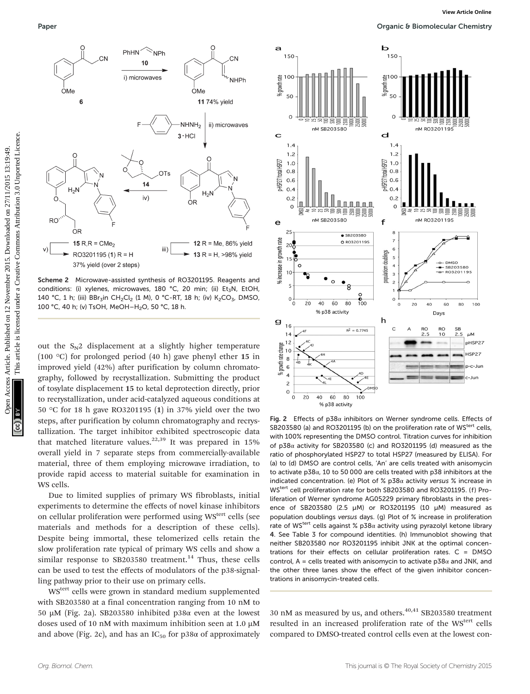

Scheme 2 Microwave-assisted synthesis of RO3201195. Reagents and conditions: (i) xylenes, microwaves, 180 °C, 20 min; (ii) Et<sub>z</sub>N, EtOH, 140 °C, 1 h; (iii) BBr<sub>3</sub>in CH<sub>2</sub>Cl<sub>2</sub> (1 M), 0 °C-RT, 18 h; (iv) K<sub>2</sub>CO<sub>3</sub>, DMSO, 100 °C, 40 h; (v) TsOH, MeOH-H<sub>2</sub>O, 50 °C, 18 h.

out the  $S_N2$  displacement at a slightly higher temperature (100 °C) for prolonged period (40 h) gave phenyl ether 15 in improved yield (42%) after purification by column chromatography, followed by recrystallization. Submitting the product of tosylate displacement 15 to ketal deprotection directly, prior to recrystallization, under acid-catalyzed aqueous conditions at 50 °C for 18 h gave RO3201195 (1) in 37% yield over the two steps, after purification by column chromatography and recrystallization. The target inhibitor exhibited spectroscopic data that matched literature values.<sup>22,39</sup> It was prepared in  $15\%$ overall yield in 7 separate steps from commercially-available material, three of them employing microwave irradiation, to provide rapid access to material suitable for examination in WS cells.

Due to limited supplies of primary WS fibroblasts, initial experiments to determine the effects of novel kinase inhibitors on cellular proliferation were performed using WS<sup>tert</sup> cells (see materials and methods for a description of these cells). Despite being immortal, these telomerized cells retain the slow proliferation rate typical of primary WS cells and show a similar response to SB203580 treatment.<sup>14</sup> Thus, these cells can be used to test the effects of modulators of the p38-signalling pathway prior to their use on primary cells.

WStert cells were grown in standard medium supplemented with SB203580 at a final concentration ranging from 10 nM to 50 µM (Fig. 2a). SB203580 inhibited p38α even at the lowest doses used of 10 nM with maximum inhibition seen at 1.0 µM and above (Fig. 2c), and has an  $IC_{50}$  for p38 $\alpha$  of approximately



Fig. 2 Effects of p38 $\alpha$  inhibitors on Werner syndrome cells. Effects of SB203580 (a) and RO3201195 (b) on the proliferation rate of WS<sup>tert</sup> cells, with 100% representing the DMSO control. Titration curves for inhibition of p38α activity for SB203580 (c) and RO3201195 (d) measured as the ratio of phosphorylated HSP27 to total HSP27 (measured by ELISA). For (a) to (d) DMSO are control cells, 'An' are cells treated with anisomycin to activate p38α, 10 to 50 000 are cells treated with p38 inhibitors at the indicated concentration. (e) Plot of %  $p38\alpha$  activity versus % increase in WStert cell proliferation rate for both SB203580 and RO3201195. (f) Proliferation of Werner syndrome AG05229 primary fibroblasts in the presence of SB203580 (2.5 µM) or RO3201195 (10 µM) measured as population doublings versus days. (g) Plot of % increase in proliferation rate of WS<sup>tert</sup> cells against % p38 $\alpha$  activity using pyrazolyl ketone library 4. See Table 3 for compound identities. (h) Immunoblot showing that neither SB203580 nor RO3201195 inhibit JNK at the optimal concentrations for their effects on cellular proliferation rates.  $C = DMSO$ control, A = cells treated with anisomycin to activate  $p38\alpha$  and JNK, and the other three lanes show the effect of the given inhibitor concentrations in anisomycin-treated cells.

30 nM as measured by us, and others. $40,41$  SB203580 treatment resulted in an increased proliferation rate of the WS<sup>tert</sup> cells compared to DMSO-treated control cells even at the lowest con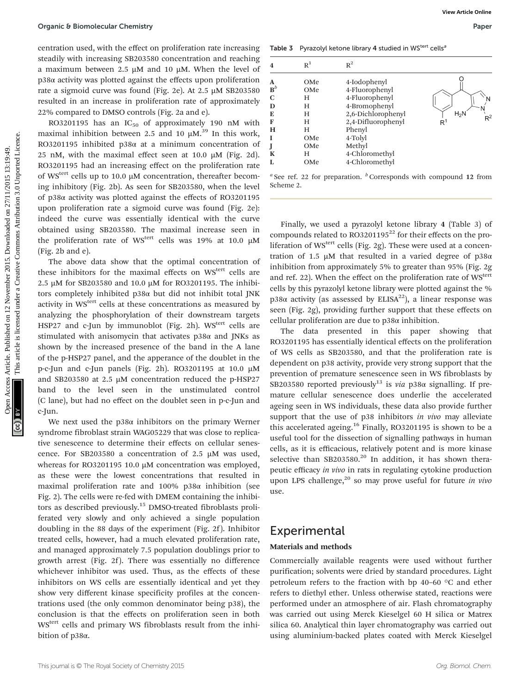centration used, with the effect on proliferation rate increasing steadily with increasing SB203580 concentration and reaching a maximum between 2.5 µM and 10 µM. When the level of p38α activity was plotted against the effects upon proliferation rate a sigmoid curve was found (Fig. 2e). At 2.5 µM SB203580 resulted in an increase in proliferation rate of approximately 22% compared to DMSO controls (Fig. 2a and e).

RO3201195 has an  $IC_{50}$  of approximately 190 nM with maximal inhibition between 2.5 and 10  $\mu$ M.<sup>39</sup> In this work, RO3201195 inhibited p38α at a minimum concentration of 25 nM, with the maximal effect seen at 10.0  $\mu$ M (Fig. 2d). RO3201195 had an increasing effect on the proliferation rate of WS<sup>tert</sup> cells up to 10.0 µM concentration, thereafter becoming inhibitory (Fig. 2b). As seen for SB203580, when the level of p38α activity was plotted against the effects of RO3201195 upon proliferation rate a sigmoid curve was found (Fig. 2e): indeed the curve was essentially identical with the curve obtained using SB203580. The maximal increase seen in the proliferation rate of WS<sup>tert</sup> cells was 19% at 10.0  $\mu$ M (Fig. 2b and e).

The above data show that the optimal concentration of these inhibitors for the maximal effects on WS<sup>tert</sup> cells are 2.5 µM for SB203580 and 10.0 µM for RO3201195. The inhibitors completely inhibited p38α but did not inhibit total JNK activity in WS<sup>tert</sup> cells at these concentrations as measured by analyzing the phosphorylation of their downstream targets HSP27 and c-Jun by immunoblot (Fig. 2h).  $WS<sup>tert</sup>$  cells are stimulated with anisomycin that activates p38α and JNKs as shown by the increased presence of the band in the A lane of the p-HSP27 panel, and the apperance of the doublet in the p-c-Jun and c-Jun panels (Fig. 2h). RO3201195 at 10.0 µM and SB203580 at 2.5 µM concentration reduced the p-HSP27 band to the level seen in the unstimulated control (C lane), but had no effect on the doublet seen in p-c-Jun and c-Jun. Open C 8 Bomotecular Chemistry<br>
Second of Articles. Published on 2015. The contention and conclusion and conclusion and contention and contention and the set of Articles. The contention of the contention of the component

We next used the  $p38\alpha$  inhibitors on the primary Werner syndrome fibroblast strain WAG05229 that was close to replicative senescence to determine their effects on cellular senescence. For SB203580 a concentration of 2.5 µM was used, whereas for RO3201195 10.0 μM concentration was employed, as these were the lowest concentrations that resulted in maximal proliferation rate and 100% p38α inhibition (see Fig. 2). The cells were re-fed with DMEM containing the inhibitors as described previously.<sup>15</sup> DMSO-treated fibroblasts proliferated very slowly and only achieved a single population doubling in the 88 days of the experiment (Fig. 2f). Inhibitor treated cells, however, had a much elevated proliferation rate, and managed approximately 7.5 population doublings prior to growth arrest (Fig. 2f ). There was essentially no difference whichever inhibitor was used. Thus, as the effects of these inhibitors on WS cells are essentially identical and yet they show very different kinase specificity profiles at the concentrations used (the only common denominator being p38), the conclusion is that the effects on proliferation seen in both WStert cells and primary WS fibroblasts result from the inhibition of p38α.

Table 3 Pyrazolyl ketone library 4 studied in WStert cells<sup>8</sup>

| $\overline{\mathbf{4}}$                                                 | $R^1$                                                         | $R^2$                                                                                                                                                                            |                                                  |
|-------------------------------------------------------------------------|---------------------------------------------------------------|----------------------------------------------------------------------------------------------------------------------------------------------------------------------------------|--------------------------------------------------|
| A<br>${\bf B}^b$<br>$\mathbf C$<br>D<br>E<br>F<br>H<br>I<br>J<br>K<br>L | OMe<br>OMe<br>Н<br>Н<br>Н<br>Н<br>Н<br>OMe<br>OMe<br>Н<br>OMe | 4-Iodophenyl<br>4-Fluorophenyl<br>4-Fluorophenyl<br>4-Bromophenyl<br>2,6-Dichlorophenyl<br>2,4-Difluorophenyl<br>Phenyl<br>4-Tolyl<br>Methyl<br>4-Chloromethyl<br>4-Chloromethyl | N<br>$H_2$ N<br>$\mathsf{R}^2$<br>$\mathsf{R}^1$ |

<sup>*a*</sup> See ref. 22 for preparation.  $\frac{b}{b}$  Corresponds with compound 12 from Scheme 2.

Finally, we used a pyrazolyl ketone library 4 (Table 3) of compounds related to  $RO3201195^{22}$  for their effects on the proliferation of  $WS<sup>tert</sup>$  cells (Fig. 2g). These were used at a concentration of 1.5 μM that resulted in a varied degree of  $p38α$ inhibition from approximately 5% to greater than 95% (Fig. 2g and ref. 22). When the effect on the proliferation rate of WS<sup>tert</sup> cells by this pyrazolyl ketone library were plotted against the % p38α activity (as assessed by ELISA<sup>22</sup>), a linear response was seen (Fig. 2g), providing further support that these effects on cellular proliferation are due to p38α inhibition.

The data presented in this paper showing that RO3201195 has essentially identical effects on the proliferation of WS cells as SB203580, and that the proliferation rate is dependent on p38 activity, provide very strong support that the prevention of premature senescence seen in WS fibroblasts by SB203580 reported previously<sup>13</sup> is via p38 $\alpha$  signalling. If premature cellular senescence does underlie the accelerated ageing seen in WS individuals, these data also provide further support that the use of p38 inhibitors in vivo may alleviate this accelerated ageing.<sup>16</sup> Finally, RO3201195 is shown to be a useful tool for the dissection of signalling pathways in human cells, as it is efficacious, relatively potent and is more kinase selective than  $SB203580.<sup>20</sup>$  In addition, it has shown therapeutic efficacy in vivo in rats in regulating cytokine production upon LPS challenge, $^{20}$  so may prove useful for future in vivo use.

### Experimental

### Materials and methods

Commercially available reagents were used without further purification; solvents were dried by standard procedures. Light petroleum refers to the fraction with bp 40–60 °C and ether refers to diethyl ether. Unless otherwise stated, reactions were performed under an atmosphere of air. Flash chromatography was carried out using Merck Kieselgel 60 H silica or Matrex silica 60. Analytical thin layer chromatography was carried out using aluminium-backed plates coated with Merck Kieselgel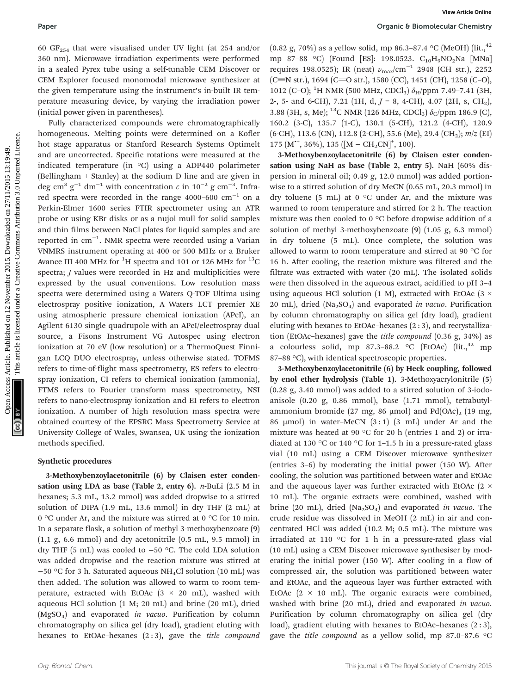Paper **Paper Paper Paper Paper Paper Paper Paper Chemistry Organic & Biomolecular Chemistry** 

60  $GF<sub>254</sub>$  that were visualised under UV light (at 254 and/or 360 nm). Microwave irradiation experiments were performed in a sealed Pyrex tube using a self-tunable CEM Discover or CEM Explorer focused monomodal microwave synthesizer at the given temperature using the instrument's in-built IR temperature measuring device, by varying the irradiation power (initial power given in parentheses).

Fully characterized compounds were chromatographically homogeneous. Melting points were determined on a Kofler hot stage apparatus or Stanford Research Systems Optimelt and are uncorrected. Specific rotations were measured at the indicated temperature (in °C) using a ADP440 polarimeter (Bellingham + Stanley) at the sodium D line and are given in deg cm<sup>3</sup> g<sup>-1</sup> dm<sup>-1</sup> with concentration  $c$  in 10<sup>-2</sup> g cm<sup>-3</sup>. Infrared spectra were recorded in the range 4000–600 cm−<sup>1</sup> on a Perkin-Elmer 1600 series FTIR spectrometer using an ATR probe or using KBr disks or as a nujol mull for solid samples and thin films between NaCl plates for liquid samples and are reported in cm−<sup>1</sup> . NMR spectra were recorded using a Varian VNMRS instrument operating at 400 or 500 MHz or a Bruker Avance III 400 MHz for  $^1\mathrm{H}$  spectra and 101 or 126 MHz for  $^{13}\mathrm{C}$ spectra; *J* values were recorded in Hz and multiplicities were expressed by the usual conventions. Low resolution mass spectra were determined using a Waters Q-TOF Ultima using electrospray positive ionization, A Waters LCT premier XE using atmospheric pressure chemical ionization (APcI), an Agilent 6130 single quadrupole with an APcI/electrospray dual source, a Fisons Instrument VG Autospec using electron ionization at 70 eV (low resolution) or a ThermoQuest Finnigan LCQ DUO electrospray, unless otherwise stated. TOFMS refers to time-of-flight mass spectrometry, ES refers to electrospray ionization, CI refers to chemical ionization (ammonia), FTMS refers to Fourier transform mass spectrometry, NSI refers to nano-electrospray ionization and EI refers to electron ionization. A number of high resolution mass spectra were obtained courtesy of the EPSRC Mass Spectrometry Service at University College of Wales, Swansea, UK using the ionization methods specified. Paper<br> **Opene:** 8 Opene: 8 November 2015. The second one of the second one and the second one and the second one and the second of the second one and the second of the second of the second of the second of the second of t

#### Synthetic procedures

3-Methoxybenzoylacetonitrile (6) by Claisen ester condensation using LDA as base (Table 2, entry 6). *n*-BuLi (2.5 M in hexanes; 5.3 mL, 13.2 mmol) was added dropwise to a stirred solution of DIPA (1.9 mL, 13.6 mmol) in dry THF (2 mL) at 0 °C under Ar, and the mixture was stirred at 0 °C for 10 min. In a separate flask, a solution of methyl 3-methoxybenzoate (9) (1.1 g, 6.6 mmol) and dry acetonitrile (0.5 mL, 9.5 mmol) in dry THF (5 mL) was cooled to −50 °C. The cold LDA solution was added dropwise and the reaction mixture was stirred at −50 °C for 3 h. Saturated aqueous NH4Cl solution (10 mL) was then added. The solution was allowed to warm to room temperature, extracted with EtOAc  $(3 \times 20 \text{ mL})$ , washed with aqueous HCl solution (1 M; 20 mL) and brine (20 mL), dried  $(MgSO<sub>4</sub>)$  and evaporated *in vacuo*. Purification by column chromatography on silica gel (dry load), gradient eluting with hexanes to EtOAc-hexanes (2:3), gave the *title compound* 

(0.82 g, 70%) as a yellow solid, mp 86.3–87.4 °C (MeOH) (lit., <sup>42</sup>) mp 87-88 °C) (Found [ES]: 198.0523. C<sub>10</sub>H<sub>9</sub>NO<sub>2</sub>Na [MNa] requires 198.0525); IR (neat)  $\nu_{\text{max}}/\text{cm}^{-1}$  2948 (CH str.), 2252  $(C=$ N str.), 1694 (C=O str.), 1580 (CC), 1451 (CH), 1258 (C-O), 1012 (C-O); <sup>1</sup>H NMR (500 MHz, CDCl<sub>3</sub>)  $\delta$ <sub>H</sub>/ppm 7.49-7.41 (3H, 2-, 5- and 6-CH), 7.21 (1H, d,  $J = 8$ , 4-CH), 4.07 (2H, s, CH<sub>2</sub>), 3.88 (3H, s, Me); <sup>13</sup>C NMR (126 MHz, CDCl<sub>3</sub>)  $\delta$ <sub>C</sub>/ppm 186.9 (C), 160.2 (3-C), 135.7 (1-C), 130.1 (5-CH), 121.2 (4-CH), 120.9  $(6\text{-}CH)$ , 113.6 (CN), 112.8 (2-CH), 55.6 (Me), 29.4 (CH<sub>2</sub>);  $m/z$  (EI) 175  $(M^{*+}, 36\%), 135$   $([M - CH_2CN]^+, 100)$ .

3-Methoxybenzoylacetonitrile (6) by Claisen ester condensation using NaH as base (Table 2, entry 5). NaH (60% dispersion in mineral oil; 0.49 g, 12.0 mmol) was added portionwise to a stirred solution of dry MeCN (0.65 mL, 20.3 mmol) in dry toluene (5 mL) at 0  $\degree$ C under Ar, and the mixture was warmed to room temperature and stirred for 2 h. The reaction mixture was then cooled to 0 °C before dropwise addition of a solution of methyl 3-methoxybenzoate (9) (1.05 g, 6.3 mmol) in dry toluene (5 mL). Once complete, the solution was allowed to warm to room temperature and stirred at 90 °C for 16 h. After cooling, the reaction mixture was filtered and the filtrate was extracted with water (20 mL). The isolated solids were then dissolved in the aqueous extract, acidified to pH 3–4 using aqueous HCl solution (1 M), extracted with EtOAc (3  $\times$ 20 mL), dried  $(Na_2SO_4)$  and evaporated in vacuo. Purification by column chromatography on silica gel (dry load), gradient eluting with hexanes to EtOAc–hexanes (2 : 3), and recrystallization (EtOAc–hexanes) gave the title compound (0.36 g, 34%) as a colourless solid, mp 87.3–88.2  $\degree$ C (EtOAc) (lit.,<sup>42</sup> mp 87–88 °C), with identical spectroscopic properties.

3-Methoxybenzoylacetonitrile (6) by Heck coupling, followed by enol ether hydrolysis (Table 1). 3-Methoxyacrylonitrile (5) (0.28 g, 3.40 mmol) was added to a stirred solution of 3-iodoanisole (0.20 g, 0.86 mmol), base (1.71 mmol), tetrabutylammonium bromide (27 mg, 86 µmol) and Pd(OAc)<sub>2</sub> (19 mg, 86  $\mu$ mol) in water–MeCN  $(3:1)$   $(3 \text{ mL})$  under Ar and the mixture was heated at 90 °C for 20 h (entries 1 and 2) or irradiated at 130 °C or 140 °C for 1-1.5 h in a pressure-rated glass vial (10 mL) using a CEM Discover microwave synthesizer (entries 3–6) by moderating the initial power (150 W). After cooling, the solution was partitioned between water and EtOAc and the aqueous layer was further extracted with EtOAc ( $2 \times$ 10 mL). The organic extracts were combined, washed with brine (20 mL), dried (Na<sub>2</sub>SO<sub>4</sub>) and evaporated in vacuo. The crude residue was dissolved in MeOH (2 mL) in air and concentrated HCl was added (10.2 M; 0.5 mL). The mixture was irradiated at 110 °C for 1 h in a pressure-rated glass vial (10 mL) using a CEM Discover microwave synthesiser by moderating the initial power (150 W). After cooling in a flow of compressed air, the solution was partitioned between water and EtOAc, and the aqueous layer was further extracted with EtOAc  $(2 \times 10 \text{ mL})$ . The organic extracts were combined, washed with brine (20 mL), dried and evaporated in vacuo. Purification by column chromatography on silica gel (dry load), gradient eluting with hexanes to EtOAc-hexanes  $(2:3)$ , gave the *title compound* as a yellow solid, mp 87.0-87.6  $\degree$ C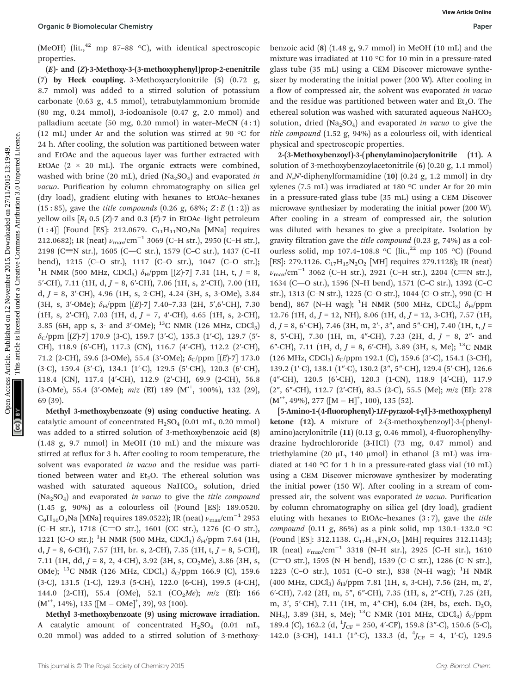(MeOH) (lit., $^{42}$  mp 87–88 °C), with identical spectroscopic properties.

(E)- and (Z)-3-Methoxy-3-(3-methoxyphenyl)prop-2-enenitrile (7) by Heck coupling. 3-Methoxyacrylonitrile (5) (0.72 g, 8.7 mmol) was added to a stirred solution of potassium carbonate (0.63 g, 4.5 mmol), tetrabutylammonium bromide (80 mg, 0.24 mmol), 3-iodoanisole (0.47 g, 2.0 mmol) and palladium acetate (50 mg, 0.20 mmol) in water-MeCN  $(4:1)$ (12 mL) under Ar and the solution was stirred at 90 °C for 24 h. After cooling, the solution was partitioned between water and EtOAc and the aqueous layer was further extracted with EtOAc  $(2 \times 20$  mL). The organic extracts were combined, washed with brine (20 mL), dried (Na<sub>2</sub>SO<sub>4</sub>) and evaporated in vacuo. Purification by column chromatography on silica gel (dry load), gradient eluting with hexanes to EtOAc–hexanes (15:85), gave the *title compounds* (0.26 g, 68%;  $Z: E(1:2)$ ) as yellow oils  $[R_f \ 0.5 \ (Z)$ -7 and 0.3  $(E)$ -7 in EtOAc-light petroleum  $(1:4)$ ] (Found [ES]: 212.0679.  $C_{11}H_{11}NO_2Na$  [MNa] requires 212.0682); IR (neat)  $\nu_{\text{max}}/\text{cm}^{-1}$  3069 (C–H str.), 2950 (C–H str.), 2198 (C=N str.), 1605 (C=C str.), 1579 (C-C str.), 1437 (C-H bend), 1215 (C–O str.), 1117 (C–O str.), 1047 (C–O str.); <sup>1</sup>H NMR (500 MHz, CDCl<sub>3</sub>)  $\delta_{\text{H}}$ /ppm [(Z)-7] 7.31 (1H, t, J = 8, 5'-CH), 7.11 (1H, d,  $J = 8$ , 6'-CH), 7.06 (1H, s, 2'-CH), 7.00 (1H, d,  $J = 8$ , 3'-CH), 4.96 (1H, s, 2-CH), 4.24 (3H, s, 3-OMe), 3.84 (3H, s, 3'-OMe);  $\delta_H$ /ppm [(E)-7] 7.40-7.33 (2H, 5',6'-CH), 7.30 (1H, s, 2'-CH), 7.03 (1H, d,  $J = 7$ , 4'-CH), 4.65 (1H, s, 2-CH), 3.85 (6H, app s, 3- and 3'-OMe);  $^{13}$ C NMR (126 MHz, CDCl<sub>3</sub>)  $\delta$ <sub>C</sub>/ppm [(Z)-7] 170.9 (3-C), 159.7 (3'-C), 135.3 (1'-C), 129.7 (5'-CH), 118.9 (6′-CH), 117.3 (CN), 116.7 (4′-CH), 112.2 (2′-CH), 71.2 (2-CH), 59.6 (3-OMe), 55.4 (3'-OMe);  $\delta_C$ /ppm [(E)-7] 173.0 (3-C), 159.4 (3′-C), 134.1 (1′-C), 129.5 (5′-CH), 120.3 (6′-CH), 118.4 (CN), 117.4 (4′-CH), 112.9 (2′-CH), 69.9 (2-CH), 56.8 (3-OMe), 55.4 (3'-OMe); m/z (EI) 189 (M<sup>++</sup>, 100%), 132 (29), 69 (39). Open C Bomedecular Chemisty<br>
(McOH) [It,<sup>cl</sup> mp  $\sigma$ : 8: s<sup>1</sup>., with identical spectroscepic benzies ais folial de 11/2 De 2013. Downloaded in the Creative information and the Creative information and the Creative informa

Methyl 3-methoxybenzoate (9) using conductive heating. A catalytic amount of concentrated  $H_2SO_4$  (0.01 mL, 0.20 mmol) was added to a stirred solution of 3-methoxybenzoic acid (8) (1.48 g, 9.7 mmol) in MeOH (10 mL) and the mixture was stirred at reflux for 3 h. After cooling to room temperature, the solvent was evaporated in vacuo and the residue was partitioned between water and  $Et<sub>2</sub>O$ . The ethereal solution was washed with saturated aqueous  $NAHCO<sub>3</sub>$  solution, dried (Na<sub>2</sub>SO<sub>4</sub>) and evaporated in vacuo to give the title compound (1.45 g, 90%) as a colourless oil (Found [ES]: 189.0520.  $C_9H_{10}O_3$ Na [MNa] requires 189.0522); IR (neat)  $\nu_{\text{max}}/(\text{cm}^{-1} 2953)$ (C–H str.), 1718 (C=O str.), 1601 (CC str.), 1276 (C–O str.), 1221 (C-O str.); <sup>1</sup>H NMR (500 MHz, CDCl<sub>3</sub>)  $\delta_{\rm H}$ /ppm 7.64 (1H,  $d, J = 8, 6\text{-CH}$ , 7.57 (1H, br. s, 2-CH), 7.35 (1H, t,  $J = 8, 5\text{-CH}$ ), 7.11 (1H, dd,  $J = 8$ , 2, 4-CH), 3.92 (3H, s, CO<sub>2</sub>Me), 3.86 (3H, s, OMe); <sup>13</sup>C NMR (126 MHz, CDCl<sub>3</sub>)  $\delta_C$ /ppm 166.9 (C), 159.6 (3-C), 131.5 (1-C), 129.3 (5-CH), 122.0 (6-CH), 199.5 (4-CH), 144.0 (2-CH), 55.4 (OMe), 52.1 (CO<sub>2</sub>Me);  $m/z$  (EI): 166  $(M^{*+}, 14\%), 135 ([M - OMe]<sup>+</sup>, 39), 93 (100).$ 

Methyl 3-methoxybenzoate (9) using microwave irradiation. A catalytic amount of concentrated  $H_2SO_4$  (0.01 mL, 0.20 mmol) was added to a stirred solution of 3-methoxybenzoic acid  $(8)$   $(1.48 \text{ g}, 9.7 \text{ mmol})$  in MeOH  $(10 \text{ mL})$  and the mixture was irradiated at 110 °C for 10 min in a pressure-rated glass tube (35 mL) using a CEM Discover microwave synthesizer by moderating the initial power (200 W). After cooling in a flow of compressed air, the solvent was evaporated in vacuo and the residue was partitioned between water and  $Et<sub>2</sub>O$ . The ethereal solution was washed with saturated aqueous  $NaHCO<sub>3</sub>$ solution, dried  $(Na_2SO_4)$  and evaporated *in vacuo* to give the title compound (1.52 g, 94%) as a colourless oil, with identical physical and spectroscopic properties.

2-(3-Methoxybenzoyl)-3-(phenylamino)acrylonitrile (11). A solution of 3-methoxybenzoylacetonitrile (6) (0.20 g, 1.1 mmol) and  $N, N'$ -diphenylformamidine (10) (0.24 g, 1.2 mmol) in dry xylenes (7.5 mL) was irradiated at 180 °C under Ar for 20 min in a pressure-rated glass tube (35 mL) using a CEM Discover microwave synthesizer by moderating the initial power (200 W). After cooling in a stream of compressed air, the solution was diluted with hexanes to give a precipitate. Isolation by gravity filtration gave the title compound (0.23 g, 74%) as a colourless solid, mp 107.4-108.8 °C (lit.,<sup>22</sup> mp 105 °C) (Found [ES]: 279.1126.  $C_{17}H_{15}N_2O_2$  [MH] requires 279.1128); IR (neat)  $\nu_{\text{max}}/\text{cm}^{-1}$  3062 (C–H str.), 2921 (C–H str.), 2204 (C≡N str.), 1634 (C=O str.), 1596 (N-H bend), 1571 (C-C str.), 1392 (C-C str.), 1313 (C–N str.), 1225 (C–O str.), 1044 (C–O str.), 990 (C–H bend), 867 (N-H wag); <sup>1</sup>H NMR (500 MHz, CDCl<sub>3</sub>)  $\delta_{\text{H}}$ /ppm 12.76 (1H, d,  $J = 12$ , NH), 8.06 (1H, d,  $J = 12$ , 3-CH), 7.57 (1H, d,  $J = 8$ , 6'-CH), 7.46 (3H, m, 2'-, 3", and 5"-CH), 7.40 (1H, t,  $J =$ 8, 5′-CH), 7.30 (1H, m, 4″-CH), 7.23 (2H, d, J = 8, 2″- and 6"-CH), 7.11 (1H, d,  $J = 8$ , 6'-CH), 3.89 (3H, s, Me); <sup>13</sup>C NMR (126 MHz, CDCl<sub>3</sub>)  $\delta$ <sub>C</sub>/ppm 192.1 (C), 159.6 (3'-C), 154.1 (3-CH), 139.2 (1′-C), 138.1 (1″-C), 130.2 (3″, 5″-CH), 129.4 (5′-CH), 126.6 (4″-CH), 120.5 (6′-CH), 120.3 (1-CN), 118.9 (4′-CH), 117.9 (2″, 6″-CH), 112.7 (2′-CH), 83.5 (2-C), 55.5 (Me); m/z (EI): 278  $(M^{*+}, 49\%), 277 ([M - H]^{+}, 100), 135 (52).$ 

[5-Amino-1-(4-fluorophenyl)-1H-pyrazol-4-yl]-3-methoxyphenyl ketone (12). A mixture of 2-(3-methoxybenzoyl)-3-(phenylamino)acrylonitrile (11) (0.13 g, 0.46 mmol), 4-fluorophenylhydrazine hydrochlororide (3·HCl) (73 mg, 0.47 mmol) and triethylamine (20 µL, 140 µmol) in ethanol (3 mL) was irradiated at 140 °C for 1 h in a pressure-rated glass vial (10 mL) using a CEM Discover microwave synthesizer by moderating the initial power (150 W). After cooling in a stream of compressed air, the solvent was evaporated in vacuo. Purification by column chromatography on silica gel (dry load), gradient eluting with hexanes to EtOAc–hexanes  $(3:7)$ , gave the *title* compound (0.11 g, 86%) as a pink solid, mp 130.1-132.0 °C (Found [ES]: 312.1138.  $C_{17}H_{15}FN_3O_2$  [MH] requires 312.1143); IR (neat)  $\nu_{\text{max}}/\text{cm}^{-1}$  3318 (N–H str.), 2925 (C–H str.), 1610 (C=O str.), 1595 (N-H bend), 1539 (C-C str.), 1286 (C-N str.), 1223 (C-O str.), 1051 (C-O str.), 838 (N-H wag); <sup>1</sup>H NMR (400 MHz, CDCl<sub>3</sub>)  $\delta_H$ /ppm 7.81 (1H, s, 3-CH), 7.56 (2H, m, 2', 6′-CH), 7.42 (2H, m, 5″, 6″-CH), 7.35 (1H, s, 2″-CH), 7.25 (2H, m, 3', 5'-CH), 7.11 (1H, m, 4"-CH), 6.04 (2H, bs, exch. D<sub>2</sub>O, NH<sub>2</sub>), 3.89 (3H, s, Me); <sup>13</sup>C NMR (101 MHz, CDCl<sub>3</sub>)  $\delta_C$ /ppm 189.4 (C), 162.2 (d,  $^{1}$ J<sub>CF</sub> = 250, 4'-CF), 159.8 (3"-C), 150.6 (5-C), 142.0 (3-CH), 141.1 (1"-C), 133.3 (d,  $^{4}J_{CF}$  = 4, 1'-C), 129.5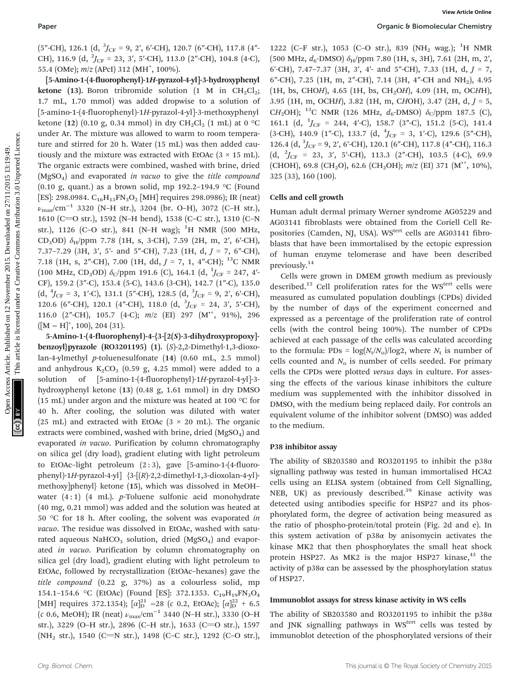$(5"$ -CH), 126.1  $(d, {}^{3}J_{CF} = 9, 2', 6'$ -CH), 120.7  $(6"$ -CH), 117.8  $(4"$ -CH), 116.9 (d,  ${}^{2}J_{CF}$  = 23, 3', 5'-CH), 113.0 (2"-CH), 104.8 (4-C), 55.4 (OMe); m/z (APcI) 312 (MH<sup>+</sup>, 100%).

[5-Amino-1-(4-fluorophenyl)-1H-pyrazol-4-yl]-3-hydroxyphenyl ketone (13). Boron tribromide solution (1 M in  $CH_2Cl_2$ ; 1.7 mL, 1.70 mmol) was added dropwise to a solution of [5-amino-1-(4-fluorophenyl)-1H-pyrazol-4-yl]-3-methoxyphenyl ketone (12) (0.10 g, 0.34 mmol) in dry  $CH_2Cl_2$  (1 mL) at 0 °C under Ar. The mixture was allowed to warm to room temperature and stirred for 20 h. Water (15 mL) was then added cautiously and the mixture was extracted with EtOAc  $(3 \times 15 \text{ mL})$ . The organic extracts were combined, washed with brine, dried (MgSO<sub>4</sub>) and evaporated in vacuo to give the title compound (0.10 g, quant.) as a brown solid, mp 192.2-194.9  $\,^{\circ}$ C (Found [ES]: 298.0984.  $C_{16}H_{13}FN_3O_2$  [MH] requires 298.0986); IR (neat)  $\nu_{\text{max}}/\text{cm}^{-1}$  3320 (N–H str.), 3204 (br. O–H), 3072 (C–H str.), 1610 (C=O str.), 1592 (N-H bend), 1538 (C-C str.), 1310 (C-N str.), 1126 (C-O str.), 841 (N-H wag); <sup>1</sup>H NMR (500 MHz, CD<sub>3</sub>OD)  $\delta_H$ /ppm 7.78 (1H, s, 3-CH), 7.59 (2H, m, 2', 6'-CH), 7.37–7.29 (3H, 3′, 5′- and 5″-CH), 7.23 (1H, d, J = 7, 6″-CH), 7.18 (1H, s, 2"-CH), 7.00 (1H, dd,  $J = 7$ , 1, 4"-CH); <sup>13</sup>C NMR  $(100 \text{ MHz}, \text{CD}_3\text{OD}) \delta_{\text{C}}/ppm$  191.6 (C), 164.1 (d,  $^1J_{\text{CF}}$  = 247, 4'-CF), 159.2 (3″-C), 153.4 (5-C), 143.6 (3-CH), 142.7 (1″-C), 135.0  $(d, {}^{4}J_{CF} = 3, 1'-C), 131.1 (5''-CH), 128.5 (d, {}^{3}J_{CF} = 9, 2', 6'-CH),$ 120.6 (6"-CH), 120.1 (4"-CH), 118.0 (d,  ${}^{3}J_{CF}$  = 24, 3', 5'-CH), 116.0 (2"-CH), 105.7 (4-C);  $m/z$  (EI) 297 (M<sup>++</sup>, 91%), 296  $([M - H]^+, 100), 204 (31).$ Open Access Article. Published on 12 November 2015. Downloaded on 27/11/2015 13:19:49. This article is licensed under a [Creative Commons Attribution 3.0 Unported Licence.](http://creativecommons.org/licenses/by/3.0/) **[View Article Online](http://dx.doi.org/10.1039/c5ob02229k)**

5-Amino-1-(4-fluorophenyl)-4-{3-[2(S)-3-dihydroxypropoxy] benzoyl}pyrazole (RO3201195) (1). (S)-2,2-Dimethyl-1,3-dioxolan-4-ylmethyl p-toluenesulfonate (14) (0.60 mL, 2.5 mmol) and anhydrous  $K_2CO_3$  (0.59 g, 4.25 mmol) were added to a solution of [5-amino-1-(4-fluorophenyl)-1H-pyrazol-4-yl]-3 hydroxyphenyl ketone (13) (0.48 g, 1.61 mmol) in dry DMSO (15 mL) under argon and the mixture was heated at 100 °C for 40 h. After cooling, the solution was diluted with water (25 mL) and extracted with EtOAc ( $3 \times 20$  mL). The organic extracts were combined, washed with brine, dried  $(MgSO<sub>4</sub>)$  and evaporated in vacuo. Purification by column chromatography on silica gel (dry load), gradient eluting with light petroleum to EtOAc-light petroleum  $(2:3)$ , gave [5-amino-1- $(4$ -fluorophenyl)-1H-pyrazol-4-yl]  $\{3-[R]-2,2\text{-dimethyl-1},3\text{-dioxolan-4-yl}\}$ methoxy]phenyl} ketone (15), which was dissolved in MeOH– water  $(4:1)$   $(4 \text{ mL})$ . p-Toluene sulfonic acid monohydrate (40 mg, 0.21 mmol) was added and the solution was heated at 50 °C for 18 h. After cooling, the solvent was evaporated in vacuo. The residue was dissolved in EtOAc, washed with saturated aqueous  $NAHCO<sub>3</sub>$  solution, dried (MgSO<sub>4</sub>) and evaporated in vacuo. Purification by column chromatography on silica gel (dry load), gradient eluting with light petroleum to EtOAc, followed by recrystallization (EtOAc–hexanes) gave the title compound (0.22 g, 37%) as a colourless solid, mp 154.1-154.6 °C (EtOAc) (Found [ES]: 372.1353. C<sub>19</sub>H<sub>19</sub>FN<sub>3</sub>O<sub>4</sub> [MH] requires 372.1354);  $[\alpha]_{\text{D}}^{21}$  –28 (c 0.2, EtOAc);  $[\alpha]_{\text{D}}^{22}$  + 6.5 (c 0.6, MeOH); IR (neat)  $\nu_{\text{max}}/\text{cm}^{-1}$  3440 (N–H str.), 3330 (O–H str.), 3229 (O-H str.), 2896 (C-H str.), 1633 (C=O str.), 1597 (NH<sub>2</sub> str.), 1540 (C=N str.), 1498 (C–C str.), 1292 (C–O str.),

1222 (C-F str.), 1053 (C-O str.), 839 (NH<sub>2</sub> wag.); <sup>1</sup>H NMR  $(500 \text{ MHz}, d_6\text{-}DMSO) \delta_H$ /ppm 7.80 (1H, s, 3H), 7.61 (2H, m, 2', 6'-CH), 7.47-7.37 (3H, 3', 4'- and 5"-CH), 7.33 (1H, d,  $J = 7$ , 6"-CH), 7.25 (1H, m, 2"-CH), 7.14 (3H, 4"-CH and  $NH_2$ ), 4.95 (1H, bs, CHOH), 4.65 (1H, bs, CH<sub>2</sub>OH), 4.09 (1H, m, OCHH), 3.95 (1H, m, OCHH), 3.82 (1H, m, CHOH), 3.47 (2H, d,  $J = 5$ , CH<sub>2</sub>OH); <sup>13</sup>C NMR (126 MHz,  $d_6$ -DMSO)  $\delta$ <sub>C</sub>/ppm 187.5 (C), 161.1 (d,  $^{1}J_{CF}$  = 244, 4'-C), 158.7 (3"-C), 151.2 (5-C), 141.4  $(3\text{-CH})$ , 140.9  $(1"$ -C), 133.7  $(d, \frac{4}{J_{\text{CF}}} = 3, 1'-C)$ , 129.6  $(5"$ -CH), 126.4 (d,  ${}^{3}J_{CF}$  = 9, 2', 6'-CH), 120.1 (6"-CH), 117.8 (4"-CH), 116.3  $(d, \frac{2}{J_{CF}} = 23, 3', 5'$ -CH $), 113.3 (2"$ -CH $), 103.5 (4$ -C $), 69.9$ (CHOH), 69.8 (CH<sub>2</sub>O), 62.6 (CH<sub>2</sub>OH); m/z (EI) 371 (M<sup>++</sup>, 10%), 325 (33), 160 (100).

#### Cells and cell growth

Human adult dermal primary Werner syndrome AG05229 and AG03141 fibroblasts were obtained from the Coriell Cell Repositories (Camden, NJ, USA). WS<sup>tert</sup> cells are AG03141 fibroblasts that have been immortalised by the ectopic expression of human enzyme telomerase and have been described previously.<sup>14</sup>

Cells were grown in DMEM growth medium as previously described.<sup>15</sup> Cell proliferation rates for the WS<sup>tert</sup> cells were measured as cumulated population doublings (CPDs) divided by the number of days of the experiment concerned and expressed as a percentage of the proliferation rate of control cells (with the control being 100%). The number of CPDs achieved at each passage of the cells was calculated according to the formula: PDs =  $log(N_t/N_o)/log2$ , where  $N_t$  is number of cells counted and  $N<sub>o</sub>$  is number of cells seeded. For primary cells the CPDs were plotted versus days in culture. For assessing the effects of the various kinase inhibitors the culture medium was supplemented with the inhibitor dissolved in DMSO, with the medium being replaced daily. For controls an equivalent volume of the inhibitor solvent (DMSO) was added to the medium.

#### P38 inhibitor assay

The ability of SB203580 and RO3201195 to inhibit the p38α signalling pathway was tested in human immortalised HCA2 cells using an ELISA system (obtained from Cell Signalling, NEB, UK) as previously described.<sup>39</sup> Kinase activity was detected using antibodies specific for HSP27 and its phosphorylated form, the degree of activation being measured as the ratio of phospho-protein/total protein (Fig. 2d and e). In this system activation of p38α by anisomycin activates the kinase MK2 that then phosphorylates the small heat shock protein HSP27. As MK2 is the major HSP27 kinase, $43$  the activity of  $p38\alpha$  can be assessed by the phosphorylation status of HSP27.

#### Immunoblot assays for stress kinase activity in WS cells

The ability of SB203580 and RO3201195 to inhibit the p38α and JNK signalling pathways in WS<sup>tert</sup> cells was tested by immunoblot detection of the phosphorylated versions of their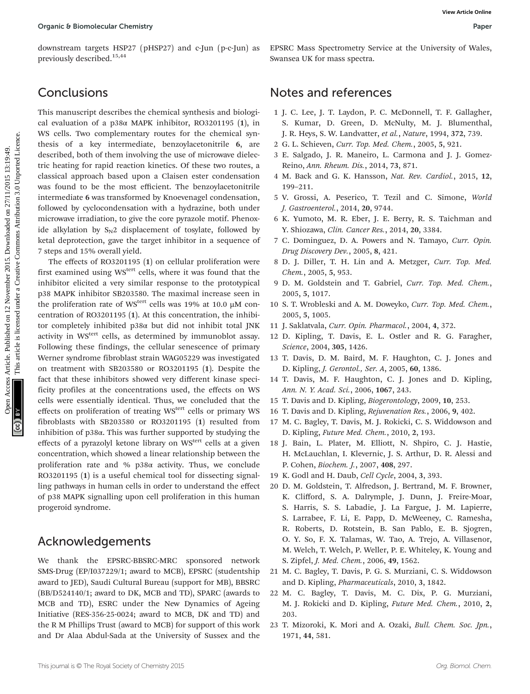downstream targets HSP27 (pHSP27) and c-Jun (p-c-Jun) as previously described.15,44

## **Conclusions**

This manuscript describes the chemical synthesis and biological evaluation of a p38α MAPK inhibitor, RO3201195 (1), in WS cells. Two complementary routes for the chemical synthesis of a key intermediate, benzoylacetonitrile 6, are described, both of them involving the use of microwave dielectric heating for rapid reaction kinetics. Of these two routes, a classical approach based upon a Claisen ester condensation was found to be the most efficient. The benzoylacetonitrile intermediate 6 was transformed by Knoevenagel condensation, followed by cyclocondensation with a hydrazine, both under microwave irradiation, to give the core pyrazole motif. Phenoxide alkylation by  $S_N2$  displacement of tosylate, followed by ketal deprotection, gave the target inhibitor in a sequence of 7 steps and 15% overall yield.

The effects of RO3201195 (1) on cellular proliferation were first examined using WS<sup>tert</sup> cells, where it was found that the inhibitor elicited a very similar response to the prototypical p38 MAPK inhibitor SB203580. The maximal increase seen in the proliferation rate of WS<sup>tert</sup> cells was 19% at 10.0  $\mu$ M concentration of RO3201195 (1). At this concentration, the inhibitor completely inhibited p38α but did not inhibit total JNK activity in WS<sup>tert</sup> cells, as determined by immunoblot assay. Following these findings, the cellular senescence of primary Werner syndrome fibroblast strain WAG05229 was investigated on treatment with SB203580 or RO3201195 (1). Despite the fact that these inhibitors showed very different kinase specificity profiles at the concentrations used, the effects on WS cells were essentially identical. Thus, we concluded that the effects on proliferation of treating WS<sup>tert</sup> cells or primary WS fibroblasts with SB203580 or RO3201195 (1) resulted from inhibition of p38α. This was further supported by studying the effects of a pyrazolyl ketone library on WS<sup>tert</sup> cells at a given concentration, which showed a linear relationship between the proliferation rate and %  $p38\alpha$  activity. Thus, we conclude RO3201195 (1) is a useful chemical tool for dissecting signalling pathways in human cells in order to understand the effect of p38 MAPK signalling upon cell proliferation in this human progeroid syndrome. Organic 8 Bomotecular Chemistry<br> **Conclusion** Chemistration Access Articles Articles Articles Articles Articles Articles. **November 2015.** The Concept Concept Concept Concept Commons Articles Are the commons and Solomburg

### Acknowledgements

We thank the EPSRC-BBSRC-MRC sponsored network SMS-Drug (EP/I037229/1; award to MCB), EPSRC (studentship award to JED), Saudi Cultural Bureau (support for MB), BBSRC (BB/D524140/1; award to DK, MCB and TD), SPARC (awards to MCB and TD), ESRC under the New Dynamics of Ageing Initiative (RES-356-25-0024; award to MCB, DK and TD) and the R M Phillips Trust (award to MCB) for support of this work and Dr Alaa Abdul-Sada at the University of Sussex and the

EPSRC Mass Spectrometry Service at the University of Wales, Swansea UK for mass spectra.

### Notes and references

- 1 J. C. Lee, J. T. Laydon, P. C. McDonnell, T. F. Gallagher, S. Kumar, D. Green, D. McNulty, M. J. Blumenthal, J. R. Heys, S. W. Landvatter, et al., Nature, 1994, 372, 739.
- 2 G. L. Schieven, Curr. Top. Med. Chem., 2005, 5, 921.
- 3 E. Salgado, J. R. Maneiro, L. Carmona and J. J. Gomez-Reino, Ann. Rheum. Dis., 2014, 73, 871.
- 4 M. Back and G. K. Hansson, Nat. Rev. Cardiol., 2015, 12, 199–211.
- 5 V. Grossi, A. Peserico, T. Tezil and C. Simone, World J. Gastroenterol., 2014, 20, 9744.
- 6 K. Yumoto, M. R. Eber, J. E. Berry, R. S. Taichman and Y. Shiozawa, Clin. Cancer Res., 2014, 20, 3384.
- 7 C. Dominguez, D. A. Powers and N. Tamayo, Curr. Opin. Drug Discovery Dev., 2005, 8, 421.
- 8 D. J. Diller, T. H. Lin and A. Metzger, Curr. Top. Med. Chem., 2005, 5, 953.
- 9 D. M. Goldstein and T. Gabriel, Curr. Top. Med. Chem., 2005, 5, 1017.
- 10 S. T. Wrobleski and A. M. Doweyko, Curr. Top. Med. Chem., 2005, 5, 1005.
- 11 J. Saklatvala, Curr. Opin. Pharmacol., 2004, 4, 372.
- 12 D. Kipling, T. Davis, E. L. Ostler and R. G. Faragher, Science, 2004, 305, 1426.
- 13 T. Davis, D. M. Baird, M. F. Haughton, C. J. Jones and D. Kipling, J. Gerontol., Ser. A, 2005, 60, 1386.
- 14 T. Davis, M. F. Haughton, C. J. Jones and D. Kipling, Ann. N. Y. Acad. Sci., 2006, 1067, 243.
- 15 T. Davis and D. Kipling, Biogerontology, 2009, 10, 253.
- 16 T. Davis and D. Kipling, Rejuvenation Res., 2006, 9, 402.
- 17 M. C. Bagley, T. Davis, M. J. Rokicki, C. S. Widdowson and D. Kipling, Future Med. Chem., 2010, 2, 193.
- 18 J. Bain, L. Plater, M. Elliott, N. Shpiro, C. J. Hastie, H. McLauchlan, I. Klevernic, J. S. Arthur, D. R. Alessi and P. Cohen, Biochem. J., 2007, 408, 297.
- 19 K. Godl and H. Daub, Cell Cycle, 2004, 3, 393.
- 20 D. M. Goldstein, T. Alfredson, J. Bertrand, M. F. Browner, K. Clifford, S. A. Dalrymple, J. Dunn, J. Freire-Moar, S. Harris, S. S. Labadie, J. La Fargue, J. M. Lapierre, S. Larrabee, F. Li, E. Papp, D. McWeeney, C. Ramesha, R. Roberts, D. Rotstein, B. San Pablo, E. B. Sjogren, O. Y. So, F. X. Talamas, W. Tao, A. Trejo, A. Villasenor, M. Welch, T. Welch, P. Weller, P. E. Whiteley, K. Young and S. Zipfel, J. Med. Chem., 2006, 49, 1562.
- 21 M. C. Bagley, T. Davis, P. G. S. Murziani, C. S. Widdowson and D. Kipling, Pharmaceuticals, 2010, 3, 1842.
- 22 M. C. Bagley, T. Davis, M. C. Dix, P. G. Murziani, M. J. Rokicki and D. Kipling, Future Med. Chem., 2010, 2, 203.
- 23 T. Mizoroki, K. Mori and A. Ozaki, Bull. Chem. Soc. Jpn., 1971, 44, 581.